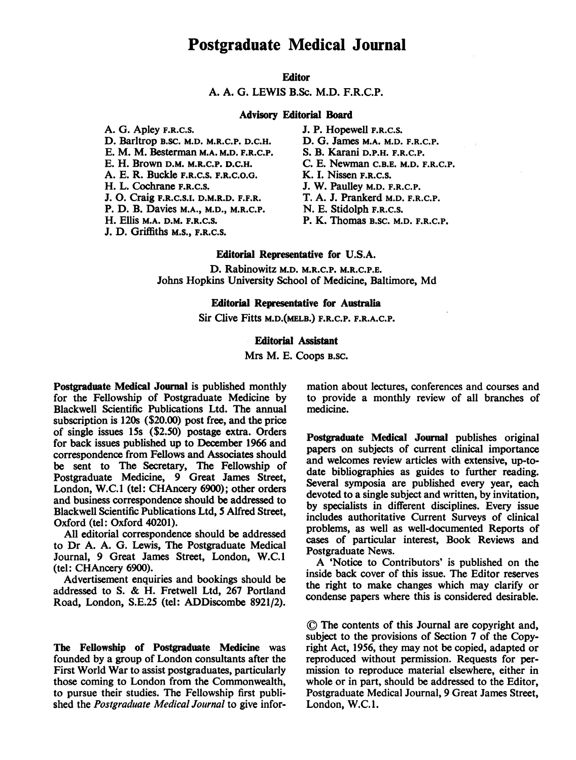## Postgraduate Medical Journal

## **Editor**

A. A. G. LEWIS B.Sc. M.D. F.R.C.P.

#### Advisory Editorial Board

A. G. Apley F.R.C.S. J. P. Hopewell F.R.C.S.<br>D. Barltrop B.SC. M.D. M.R.C.P. D.C.H. D. G. James M.A. M.D. F.R.C.P. D. Barltrop B.SC. M.D. M.R.C.P. D.C.H. D. G. James M.A. M.D. F.R.C. E. M. M. Besterman M.A. M.D. F.R.C.P. S. B. Karani D.P.H. F.R.C.P. E. M. M. Besterman M.A. M.D. F.R.C.P.<br>E. H. Brown D.M. M.R.C.P. D.C.H. A. E. R. Buckle F.R.C.S. F.R.C.O.G.<br>H. L. Cochrane F.R.C.S. J. O. Craig F.R.C.S.I. D.M.R.D. F.F.R. T. A. J. Prankerd M.D.<br>P. D. B. Davies M.A., M.D., M.R.C.P. N. E. Stidolph F.R.C.S. P. D. B. Davies M.A., M.D., M.R.C.P.<br>H. Ellis M.A. D.M. F.R.C.S.

J. D. Griffiths M.S., F.R.C.S.

C. E. Newman C.B.E. M.D. F.R.C.P.<br>K. I. Nissen F.R.C.S. J. W. Paulley M.D. F.R.C.P.<br>T. A. J. Prankerd M.D. F.R.C.P. P. K. Thomas B.SC. M.D. F.R.C.P.

## Editorial Representative for U.S.A.

D. Rabinowitz M.D. M.R.C.P. M.R.C.P.E. Johns Hopkins University School of Medicine, Baltimore, Md

## Editorial Representative for Austalia

Sir Clive Fitts M.D.(MELB.) F.R.C.P. F.R.A.C.P.

## Editorial Assistant

Mrs M. E. Coops B.SC.

Postgraduate Medical Journal is published monthly for the Fellowship of Postgraduate Medicine by Blackwell Scientific Publications Ltd. The annual subscription is 120s (\$20.00) post free, and the price of single issues 15s (\$2.50) postage extra. Orders for back issues published up to December 1966 and correspondence from Fellows and Associates should be sent to The Secretary, The Fellowship of Postgraduate Medicine, 9 Great James Street, London, W.C.1 (tel: CHAncery 6900); other orders and business correspondence should be addressed to Blackwell Scientific Publications Ltd, 5 Alfred Street, Oxford (tel: Oxford 40201).

All editorial correspondence should be addressed to Dr A. A. G. Lewis, The Postgraduate Medical Journal, 9 Great James Street, London, W.C.1 (tel: CHAncery 6900).

Advertisement enquiries and bookings should be addressed to S. & H. Fretwell Ltd, <sup>267</sup> Portland Road, London, S.E.25 (tel: ADDiscombe 8921/2).

The Fellowship of Postgraduate Medicine was founded by a group of London consultants after the First World War to assist postgraduates, particularly those coming to London from the Commonwealth, to pursue their studies. The Fellowship first published the Postgraduate Medical Journal to give information about lectures, conferences and courses and to provide a monthly review of all branches of medicine.

Postgraduate Medical Journal publishes original papers on subjects of current clinical importance and welcomes review articles with extensive, up-todate bibliographies as guides to further reading. Several symposia are published every year, each devoted to a single subject and written, by invitation, by specialists in different disciplines. Every issue includes authoritative Current Surveys of clinical problems, as well as well-documented Reports of cases of particular interest, Book Reviews and Postgraduate News.

A 'Notice to Contributors' is published on the inside back cover of this issue. The Editor reserves the right to make changes which may clarify or condense papers where this is considered desirable.

( The contents of this Journal are copyright and, subject to the provisions of Section 7 of the Copyright Act, 1956, they may not be copied, adapted or reproduced without permission. Requests for permission to reproduce material elsewhere, either in whole or in part, should be addressed to the Editor, Postgraduate Medical Journal, 9 Great James Street, London, W.C.1.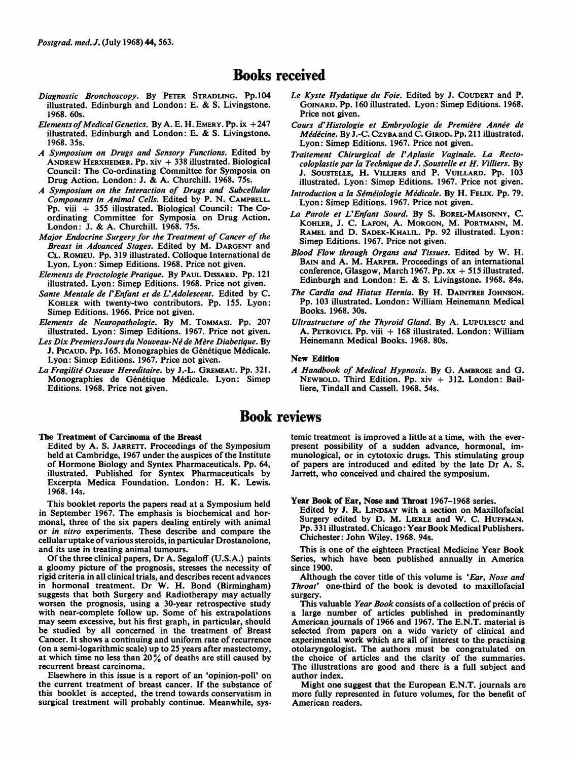## Books received

- Diagnostic Bronchoscopy. By PETER STRADLING. Pp.104 illustrated. Edinburgh and London: E. & S. Livingstone. 1968. 60s.
- Elements of Medical Genetics. By A. E. H. EMERY. Pp.  $ix + 247$ illustrated. Edinburgh and London: E. & S. Livingstone. 1968. 35s.
- A Symposium on Drugs and Sensory Functions. Edited by ANDREW HERXHEIMER. Pp.  $xiv + 338$  illustrated. Biological Council: The Co-ordinating Committee for Symposia on Drug Action. London: J. & A. Churchill. 1968. 75s.
- A Symposium on the Interaction of Drugs and Subcellular Components in Animal Cells. Edited by P. N. CAMPBELL. Pp. viii + 355 illustrated. Biological Council: The Coordinating Committee for Symposia on Drug Action. London: J. & A. Churchill. 1968. 75s.
- Major Endocrine Surgery for the Treatment of Cancer of the Breast in Advanced Stages. Edited by M. DARGENT and CL. ROMIEU. Pp. 319 illustrated. Colloque International de Lyon. Lyon: Simep Editions. 1968. Price not given.
- Elements de Proctologie Pratique. By PAUL DISSARD. Pp. 121 illustrated. Lyon: Simep Editions. 1968. Price not given.
- Sante Mentale de l'Enfant et de L'Adolescent. Edited by C. KOHLER with twenty-two contributors. Pp. 155. Lyon: Simep Editions. 1966. Price not given.
- Elements de Neuropathologie. By M. TOMMASI. Pp. 207 illustrated. Lyon: Simep Editions. 1967. Price not given.
- Les Dix Premiers Jours du Nouveau-Né de Mère Diabetique. By J. PICAUD. Pp. 165. Monographies de Génétique Médicale. Lyon: Simep Editions. 1967. Price not given.
- La Fragilité Osseuse Hereditaire. by J.-L. GREMEAU. Pp. 321. Monographies de Génétique Médicale. Lyon: Simep Editions. 1968. Price not given.
- Le Kyste Hydatique du Foie. Edited by J. COUDERT and P. GOINARD. Pp. 160 illustrated. Lyon: Simep Editions. 1968. Price not given.
- Cours d'Histologie et Embryologie de Première Année de Médécine. By J.-C. CzyBA and C. GIROD. Pp. 211 illustrated. Lyon: Simep Editions. 1967. Price not given.
- Traitement Chirurgical de <sup>l</sup>'Aplasie Vaginale. La Rectocoloplastie par la Technique de J. Soustelle et H. Villiers. By J. SOUSTELLE, H. VILLIERs and P. VUILLARD. Pp. 103 illustrated. Lyon: Simep Editions. 1967. Price not given.
- Introduction a la Séméiologie Médicale. By H. FELIX. Pp. 79. Lyon: Simep Editions. 1967. Price not given.
- La Parole et L'Enfant Sourd. By S. BOREL-MAISONNY, C. KOHLER, J. C. LAFON, A. MORGON, M. PORTMANN, M. RAMEL and D. SADEK-KHALIL. Pp. 92 illustrated. Lyon: Simep Editions. 1967. Price not given.
- Blood Flow through Organs and Tissues. Edited by W. H. BAIN and A. M. HARPER. Proceedings of an international conference, Glasgow, March 1967. Pp.  $xx + 515$  illustrated. Edinburgh and London: E. & S. Livingstone. 1968. 84s.
- The Cardia and Hiatus Hernia. By H. DAINTREE JOHNSON. Pp. 103 illustrated. London: William Heinemann Medical Books. 1968. 30s.
- Ultrastructure of the Thyroid Gland. By A. LUPULESCU and A. PETROVICI. Pp. viii + 168 illustrated. London: William Heinemann Medical Books. 1968. 80s.

#### New Edition

A Handbook of Medical Hypnosis. By G. AMBROSE and G. NEWBOLD. Third Edition. Pp. xiv + 312. London: Bailliere, Tindall and Cassell. 1968. 54s.

## Book reviews

The Treatment of Carcinoma of the Breast

Edited by A. S. JARRETT. Proceedings of the Symposium held at Cambridge, 1967 under the auspices of the Institute of Hormone Biology and Syntex Pharmaceuticals. Pp. 64, illustrated. Published for Syntex Pharmaceuticals by Excerpta Medica Foundation. London: H. K. Lewis. 1968. 14s.

This booklet reports the papers read at a Symposium held in September 1967. The emphasis is biochemical and hormonal, three of the six papers dealing entirely with animal or in vitro experiments. These describe and compare the cellular uptake of various steroids, in particular Drostanolone, and its use in treating animal tumours.

Of the three clinical papers, Dr A. Segaloff (U.S.A.) paints a gloomy picture of the prognosis, stresses the necessity of rigid criteria in all clinical trials, and describes recent advances in hormonal treatment. Dr W. H. Bond (Birmingham) suggests that both Surgery and Radiotherapy may actually worsen the prognosis, using a 30-year retrospective study with near-complete follow up. Some of his extrapolations may seem excessive, but his first graph, in particular, should be studied by all concerned in the treatment of Breast Cancer. It shows a continuing and uniform rate of recurrence (on a semi-logarithmic scale) up to 25 years after mastectomy, at which time no less than  $20\%$  of deaths are still caused by recurrent breast carcinoma.

Elsewhere in this issue is a report of an 'opinion-poll' on the current treatment of breast cancer. If the substance of this booklet is accepted, the trend towards conservatism in surgical treatment will probably continue. Meanwhile, systemic treatment is improved a little at a time, with the everpresent possibility of a sudden advance, hormonal, immunological, or in cytotoxic drugs. This stimulating group of papers are introduced and edited by the late Dr A. S. Jarrett, who conceived and chaired the symposium.

Year Book of Ear, Nose and Throat 1967-1968 series.

Edited by J. R. LINDSAY with a section on Maxillofacial Surgery edited by D. M. LIERLE and W. C. HUFFMAN. Pp. 331 illustrated. Chicago: Year Book Medical Publishers. Chichester: John Wiley. 1968. 94s.

This is one of the eighteen Practical Medicine Year Book Series, which have been published annually in America since 1900.

Although the cover title of this volume is 'Ear, Nose and Throat' one-third of the book is devoted to maxillofacial surgery.

This valuable Year Book consists of a collection of précis of a large number of articles published in predominantly American journals of 1966 and 1967. The E.N.T. material is selected from papers on a wide variety of clinical and experimental work which are all of interest to the practising otolaryngologist. The authors must be congratulated on the choice of articles and the clarity of the summaries. The illustrations are good and there is a full subject and author index.

Might one suggest that the European E.N.T. journals are more fully represented in future volumes, for the benefit of American readers.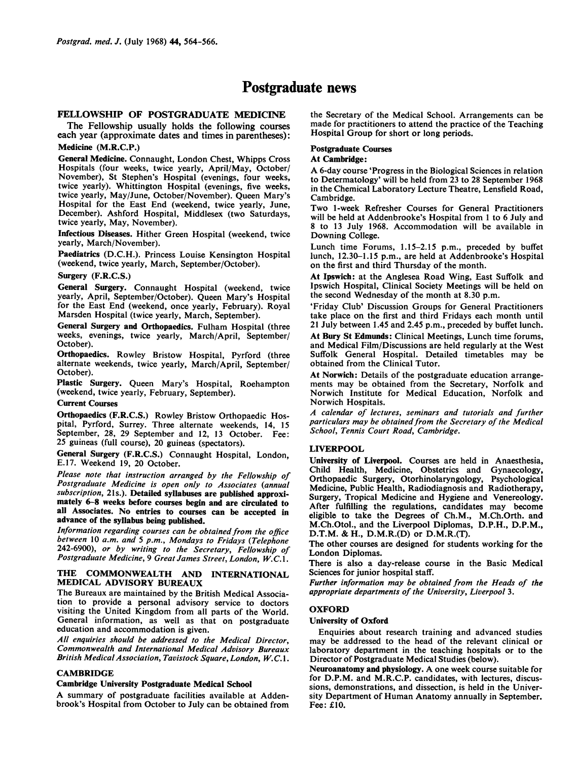## Postgraduate news

## FELLOWSHIP OF POSTGRADUATE MEDICINE

The Fellowship usually holds the following courses each year (approximate dates and times in parentheses):

## Medicine (M.R.C.P.)

General Medicine. Connaught, London Chest, Whipps Cross Hospitals (four weeks, twice yearly, April/May, October/ November), St Stephen's Hospital (evenings, four weeks, twice yearly). Whittington Hospital (evenings, five weeks, twice yearly, May/June, October/November). Queen Mary's Hospital for the East End (weekend, twice yearly, June, December). Ashford Hospital, Middlesex (two Saturdays, twice yearly, May, November).

Infectious Diseases. Hither Green Hospital (weekend, twice yearly, March/November).

Paediatrics (D.C.H.). Princess Louise Kensington Hospital (weekend, twice yearly, March, September/October).

#### Surgery (F.R.C.S.)

General Surgery. Connaught Hospital (weekend, twice yearly, April, September/October). Queen Mary's Hospital for the East End (weekend, once yearly, February). Royal Marsden Hospital (twice yearly, March, September).

General Surgery and Orthopaedics. Fulham Hospital (three weeks, evenings, twice yearly, March/April, September/ October).

Orthopaedics. Rowley Bristow Hospital, Pyrford (three alternate weekends, twice yearly, March/April, September/ October).

Plastic Surgery. Queen Mary's Hospital, Roehampton (weekend, twice yearly, February, September).

#### Current Courses

Orthopaedics (F.R.C.S.) Rowley Bristow Orthopaedic Hospital, Pyrford, Surrey. Three alternate weekends, 14, 15 September, 28, 29 September and 12, 13 October. Fee: 25 guineas (full course), 20 guineas (spectators).

General Surgery (F.R.C.S.) Connaught Hospital, London, E.17. Weekend 19, 20 October.

Please note that instruction arranged by the Fellowship of Postgraduate Medicine is open only to Associates (annual subscription, 21s.). Detailed syllabuses are published approximately 6-8 weeks before courses begin and are circulated to all Associates. No entries to courses can be accepted in advance of the syllabus being published.

Information regarding courses can be obtained from the office between 10 a.m. and 5 p.m., Mondays to Fridays (Telephone 242-6900), or by writing to the Secretary, Fellowship of Postgraduate Medicine, 9 Great James Street, London, W.C. 1.

#### THE COMMONWEALTH AND INTERNATIONAL MEDICAL ADVISORY BUREAUX

The Bureaux are maintained by the British Medical Association to provide a personal advisory service to doctors visiting the United Kingdom from all parts of the World. General information, as well as that on postgraduate education and accommodation is given.

All enquiries should be addressed to the Medical Director, Commonwealth and International Medical Advisory Bureaux British Medical Association, Tavistock Square, London, W. C. 1.

## **CAMBRIDGE**

#### Cambridge University Postgraduate Medical School

A summary of postgraduate facilities available at Addenbrook's Hospital from October to July can be obtained from the Secretary of the Medical School. Arrangements can be made for practitioners to attend the practice of the Teaching Hospital Group for short or long periods.

#### Postgraduate Courses

## At Cambridge:

A 6-day course 'Progress in the Biological Sciences in relation to Determatology' will be held from 23 to 28 September 1968 in the Chemical Laboratory Lecture Theatre, Lensfield Road, Cambridge.

Two 1-week Refresher Courses for General Practitioners will be held at Addenbrooke's Hospital from <sup>1</sup> to 6 July and 8 to 13 July 1968. Accommodation will be available in Downing College.

Lunch time Forums, 1.15-2.15 p.m., preceded by buffet lunch, 12.30-1.15 p.m., are held at Addenbrooke's Hospital on the first and third Thursday of the month.

At Ipswich: at the Anglesea Road Wing, East Suffolk and Ipswich Hospital, Clinical Society Meetings will be held on the second Wednesday of the month at 8.30 p.m.

'Friday Club' Discussion Groups for General Practitioners take place on the first and third Fridays each month until 21 July between 1.45 and 2.45 p.m., preceded by buffet lunch.

At Bury St Edmunds: Clinical Meetings, Lunch time forums, and Medical Film/Discussions are held regularly at the West Suffolk General Hospital. Detailed timetables may be obtained from the Clinical Tutor.

At Norwich: Details of the postgraduate education arrangements may be obtained from the Secretary, Norfolk and Norwich Institute for Medical Education, Norfolk and Norwich Hospitals.

A calendar of lectures, seminars and tutorials and further particulars may be obtained from the Secretary of the Medical School, Tennis Court Road, Cambridge.

## LIVERPOOL

University of Liverpool. Courses are held in Anaesthesia, Child Health, Medicine, Obstetrics and Gynaecology, Orthopaedic Surgery, Otorhinolaryngology, Psychological Medicine, Public Health, Radiodiagnosis and Radiotherapy, Surgery, Tropical Medicine and Hygiene and Venereology. After fulfilling the regulations, candidates may become eligible to take the Degrees of Ch.M., M.Ch.Orth. and M.Ch.Otol., and the Liverpool Diplomas, D.P.H., D.P.M., D.T.M. & H., D.M.R.(D) or D.M.R.(T).

The other courses are designed for students working for the London Diplomas.

There is also a day-release course in the Basic Medical Sciences for junior hospital staff.

Further information may be obtained from the Heads of the appropriate departments of the University, Liverpool 3.

#### OXFORD

#### University of Oxford

Enquiries about research training and advanced studies may be addressed to the head of the relevant clinical or laboratory department in the teaching hospitals or to the Director of Postgraduate Medical Studies (below).

Neuroanatomy and physiology. A one week course suitable for for D.P.M. and M.R.C.P. candidates, with lectures, discussions, demonstrations, and dissection, is held in the University Department of Human Anatomy annually in September. Fee: £10.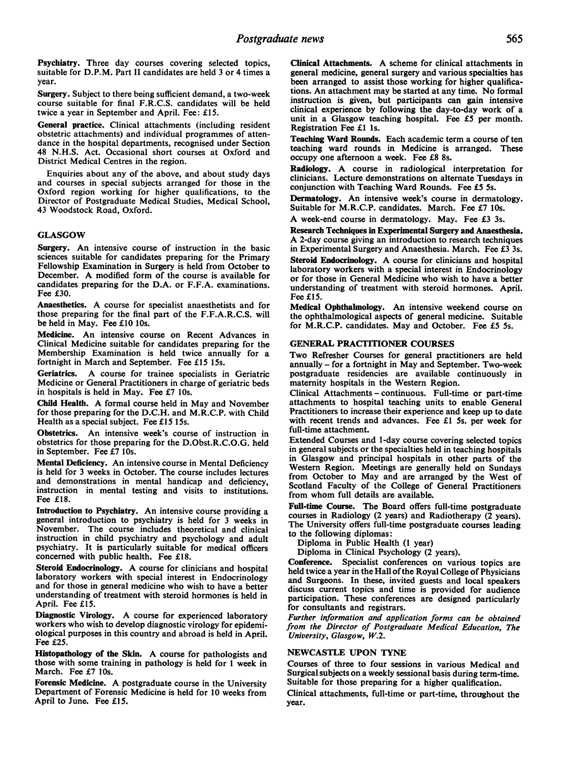Psychiatry. Three day courses covering selected topics, suitable for D.P.M. Part II candidates are held 3 or 4 times a year.

Surgery. Subject to there being sufficient demand, a two-week course suitable for final F.R.C.S. candidates will be held twice a year in September and April. Fee: £15.

General practice. Clinical attachments (including resident obstetric attachments) and individual programmes of attendance in the hospital departments, recognised under Section 48 N.H.S. Act. Occasional short courses at Oxford and District Medical Centres in the region.

Enquiries about any of the above, and about study days and courses in special subjects arranged for those in the Oxford region working for higher qualifications, to the Director of Postgraduate Medical Studies, Medical School, 43 Woodstock Road, Oxford.

#### GLASGOW

Surgery. An intensive course of instruction in the basic sciences suitable for candidates preparing for the Primary Fellowship Examination in Surgery is held from October to December. A modified form of the course is available for candidates preparing for the D.A. or F.F.A. examinations. Fee £30.

Anaesthetics. A course for specialist anaesthetists and for those preparing for the final part of the F.F.A.R.C.S. will be held in May. Fee £10 10s.

Medicine. An intensive course on Recent Advances in Clinical Medicine suitable for candidates preparing for the Membership Examination is held twice annually for a fortnight in March and September. Fee £15 15s.

Geriatrics. A course for trainee specialists in Geriatric Medicine or General Practitioners in charge of geriatric beds in hospitals is held in May. Fee £7 1Os.

Child Health. A formal course held in May and November for those preparing for the D.C.H. and M.R.C.P. with Child Health as a special subject. Fee £15 15s.

Obstetrics. An intensive week's course of instruction in obstetrics for those preparing for the D.Obst.R.C.O.G. held in September. Fee £7 10s.

Mental Deficiency. An intensive course in Mental Deficiency is held for 3 weeks in October. The course includes lectures and demonstrations in mental handicap and deficiency, instruction in mental testing and visits to institutions. Fee £18.

Introduction to Psychiatry. An intensive course providing a general introduction to psychiatry is held for 3 weeks in November. The course includes theoretical and clinical instruction in child psychiatry and psychology and adult psychiatry. It is particularly suitable for medical officers concerned with public health. Fee £18.

Steroid Endocrinology. A course for clinicians and hospital laboratory workers with special interest in Endocrinology and for those in general medicine who wish to have a better understanding of treatment with steroid hormones is held in April. Fee £15.

Diagnostic Virology. A course for experienced laboratory workers who wish to develop diagnostic virology for epidemiological purposes in this country and abroad is held in April. Fee £25.

Histopathology of the Skin. A course for pathologists and those with some training in pathology is held for <sup>1</sup> week in March. Fee £7 1Os.

Forensic Medicine. A postgraduate course in the University Department of Forensic Medicine is held for 10 weeks from April to June. Fee £15.

Clinical Attachments. A scheme for clinical attachments in general medicine, general surgery and various specialties has been arranged to assist those working for higher qualifications. An attachment may be started at any time. No formal instruction is given, but participants can gain intensive clinical experience by following the day-to-day work of a unit in a Glasgow teaching hospital. Fee £5 per month. Registration Fee £1 ls.

Teaching Ward Rounds. Each academic term a course of ten teaching ward rounds in Medicine is arranged. These occupy one afternoon a week. Fee £8 8s.

Radiology. A course in radiological interpretation for clinicians. Lecture demonstrations on alternate Tuesdays in conjunction with Teaching Ward Rounds. Fee £5 5s.

Dermatology. An intensive week's course in dermatology. Suitable for M.R.C.P. candidates. March. Fee £7 10s.

A week-end course in dermatology. May. Fee £3 3s.

Research Techniques in Experimental Surgery and Anaesthesia. A 2-day course giving an introduction to research techniques in Experimental Surgery and Anaesthesia. March. Fee £3 3s.

Steroid Endocrinology. A course for clinicians and hospital laboratory workers with a special interest in Endocrinology or for those in General Medicine who wish to have a better understanding of treatment with steroid hormones. April. Fee £15.

Medical Ophthalmology. An intensive weekend course on the ophthalmological aspects of general medicine. Suitable for M.R.C.P. candidates. May and October. Fee £5 Ss.

### GENERAL PRACTITIONER COURSES

Two Refresher Courses for general practitioners are held annually - for a fortnight in May and September. Two-week postgraduate residencies are available continuously in maternity hospitals in the Western Region.

Clinical Attachments - continuous. Full-time or part-time attachments to hospital teaching units to enable General Practitioners to increase their experience and keep up to date with recent trends and advances. Fee £1 5s. per week for full-time attachment.

Extended Courses and 1-day course covering selected topics in general subjects or the specialties held in teaching hospitals in Glasgow and principal hospitals in other parts of the Western Region. Meetings are generally held on Sundays from October to May and are arranged by the West of Scotland Faculty of the College of General Practitioners from whom full details are available.

Full-time Course. The Board offers full-time postgraduate courses in Radiology (2 years) and Radiotherapy (2 years). The University offers full-time postgraduate courses leading to the following diplomas:

Diploma in Public Health (1 year)

Diploma in Clinical Psychology (2 years).

Conference. Specialist conferences on various topics are held twice a year in the Hall of the Royal College of Physicians and Surgeons. In these, invited guests and local speakers discuss current topics and time is provided for audience participation. These conferences are designed particularly for consultants and registrars.

Further information and application forms can be obtained from the Director of Postgraduate Medical Education, The University, Glasgow, W.2.

## NEWCASTLE UPON TYNE

Courses of three to four sessions in various Medical and Surgical subjects on a weekly sessional basis during term-time. Suitable for those preparing for a higher qualification.

Clinical attachments, full-time or part-time, throughout the year.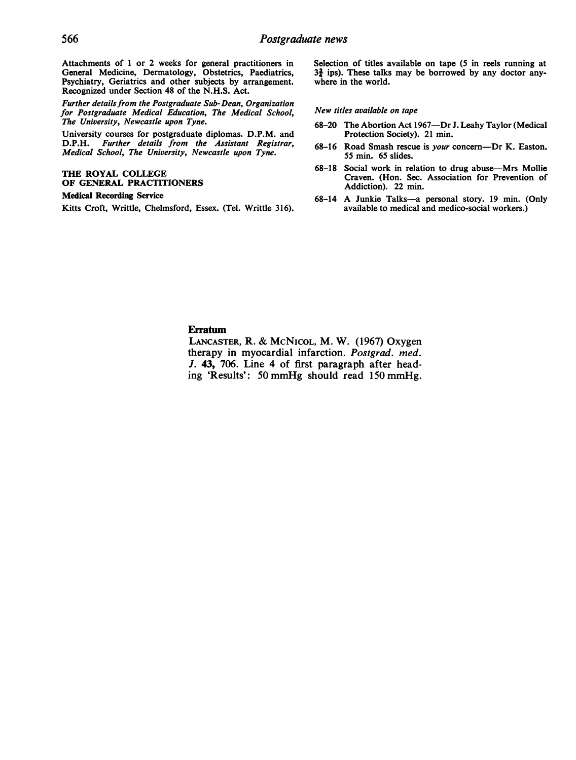Attachments of <sup>1</sup> or 2 weeks for general practitioners in General Medicine, Dermatology, Obstetrics, Paediatrics, Psychiatry, Geriatrics and other subjects by arrangement. Recognized under Section 48 of the N.H.S. Act.

Further details from the Postgraduate Sub-Dean, Organization for Postgraduate Medical Education, The Medical School, The University, Newcastle upon Tyne.

University courses for postgraduate diplomas. D.P.M. and<br>D.P.H. Further details from the Assistant Registrar. Further details from the Assistant Registrar, Medical School, The University, Newcastle upon Tyne.

## THE ROYAL COLLEGE OF GENERAL PRACTITIONERS

## Medical Recording Service

Kitts Croft, Writtle, Chelmsford, Essex. (Tel. Writtle 316).

Selection of titles available on tape (5 in reels running at  $3\frac{3}{2}$  ips). These talks may be borrowed by any doctor anywhere in the world.

#### New titles available on tape

- 68-20 The Abortion Act 1967-Dr J. Leahy Taylor (Medical Protection Society). 21 min.
- 68-16 Road Smash rescue is your concern-Dr K. Easton. 55 min. 65 slides.
- 68-18 Social work in relation to drug abuse-Mrs Mollie Craven. (Hon. Sec. Association for Prevention of Addiction). 22 min.
- 68-14 A Junkie Talks-a personal story. <sup>19</sup> min. (Only available to medical and medico-social workers.)

## Erratum

LANCASTER, R. & McNICOL, M. W. (1967) Oxygen therapy in myocardial infarction. Postgrad. med. J. 43, 706. Line 4 of first paragraph after heading 'Results': <sup>50</sup> mmHg should read <sup>150</sup> mmHg.